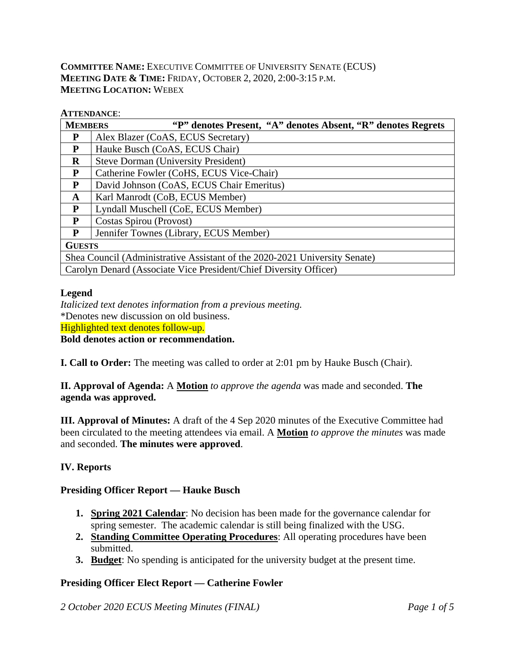## **COMMITTEE NAME:** EXECUTIVE COMMITTEE OF UNIVERSITY SENATE (ECUS) **MEETING DATE & TIME:** FRIDAY, OCTOBER 2, 2020, 2:00-3:15 P.M. **MEETING LOCATION:** WEBEX

#### **ATTENDANCE**:

| <b>MEMBERS</b>                                                             | "P" denotes Present, "A" denotes Absent, "R" denotes Regrets |  |  |  |  |  |  |  |  |
|----------------------------------------------------------------------------|--------------------------------------------------------------|--|--|--|--|--|--|--|--|
| P                                                                          | Alex Blazer (CoAS, ECUS Secretary)                           |  |  |  |  |  |  |  |  |
| P                                                                          | Hauke Busch (CoAS, ECUS Chair)                               |  |  |  |  |  |  |  |  |
| R                                                                          | <b>Steve Dorman (University President)</b>                   |  |  |  |  |  |  |  |  |
| P                                                                          | Catherine Fowler (CoHS, ECUS Vice-Chair)                     |  |  |  |  |  |  |  |  |
| P                                                                          | David Johnson (CoAS, ECUS Chair Emeritus)                    |  |  |  |  |  |  |  |  |
| A                                                                          | Karl Manrodt (CoB, ECUS Member)                              |  |  |  |  |  |  |  |  |
| P                                                                          | Lyndall Muschell (CoE, ECUS Member)                          |  |  |  |  |  |  |  |  |
| P                                                                          | Costas Spirou (Provost)                                      |  |  |  |  |  |  |  |  |
| P                                                                          | Jennifer Townes (Library, ECUS Member)                       |  |  |  |  |  |  |  |  |
| <b>GUESTS</b>                                                              |                                                              |  |  |  |  |  |  |  |  |
| Shea Council (Administrative Assistant of the 2020-2021 University Senate) |                                                              |  |  |  |  |  |  |  |  |
| Carolyn Denard (Associate Vice President/Chief Diversity Officer)          |                                                              |  |  |  |  |  |  |  |  |

#### **Legend**

*Italicized text denotes information from a previous meeting.* \*Denotes new discussion on old business. Highlighted text denotes follow-up. **Bold denotes action or recommendation.**

**I. Call to Order:** The meeting was called to order at 2:01 pm by Hauke Busch (Chair).

**II. Approval of Agenda:** A **Motion** *to approve the agenda* was made and seconded. **The agenda was approved.**

**III. Approval of Minutes:** A draft of the 4 Sep 2020 minutes of the Executive Committee had been circulated to the meeting attendees via email. A **Motion** *to approve the minutes* was made and seconded. **The minutes were approved**.

# **IV. Reports**

### **Presiding Officer Report — Hauke Busch**

- **1. Spring 2021 Calendar**: No decision has been made for the governance calendar for spring semester. The academic calendar is still being finalized with the USG.
- **2. Standing Committee Operating Procedures**: All operating procedures have been submitted.
- **3. Budget**: No spending is anticipated for the university budget at the present time.

### **Presiding Officer Elect Report — Catherine Fowler**

*2 October 2020 ECUS Meeting Minutes (FINAL) Page 1 of 5*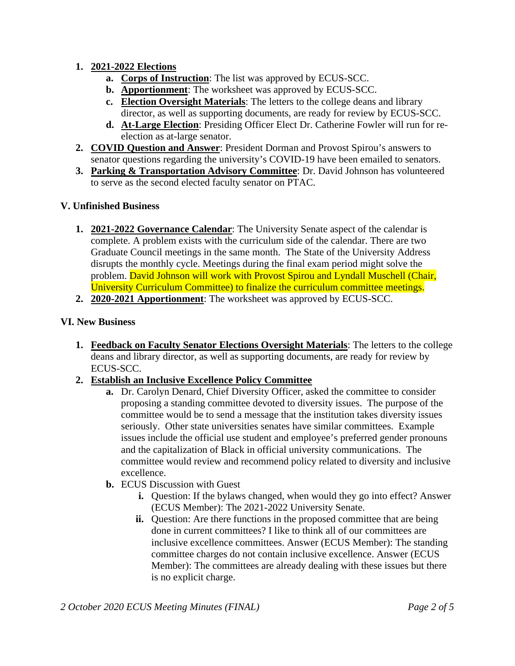## **1. 2021-2022 Elections**

- **a. Corps of Instruction**: The list was approved by ECUS-SCC.
- **b. Apportionment**: The worksheet was approved by ECUS-SCC.
- **c. Election Oversight Materials**: The letters to the college deans and library director, as well as supporting documents, are ready for review by ECUS-SCC.
- **d. At-Large Election**: Presiding Officer Elect Dr. Catherine Fowler will run for reelection as at-large senator.
- **2. COVID Question and Answer**: President Dorman and Provost Spirou's answers to senator questions regarding the university's COVID-19 have been emailed to senators.
- **3. Parking & Transportation Advisory Committee**: Dr. David Johnson has volunteered to serve as the second elected faculty senator on PTAC.

## **V. Unfinished Business**

- **1. 2021-2022 Governance Calendar**: The University Senate aspect of the calendar is complete. A problem exists with the curriculum side of the calendar. There are two Graduate Council meetings in the same month. The State of the University Address disrupts the monthly cycle. Meetings during the final exam period might solve the problem. David Johnson will work with Provost Spirou and Lyndall Muschell (Chair, University Curriculum Committee) to finalize the curriculum committee meetings.
- **2. 2020-2021 Apportionment**: The worksheet was approved by ECUS-SCC.

## **VI. New Business**

- **1. Feedback on Faculty Senator Elections Oversight Materials**: The letters to the college deans and library director, as well as supporting documents, are ready for review by ECUS-SCC.
- **2. Establish an Inclusive Excellence Policy Committee**
	- **a.** Dr. Carolyn Denard, Chief Diversity Officer, asked the committee to consider proposing a standing committee devoted to diversity issues. The purpose of the committee would be to send a message that the institution takes diversity issues seriously. Other state universities senates have similar committees. Example issues include the official use student and employee's preferred gender pronouns and the capitalization of Black in official university communications. The committee would review and recommend policy related to diversity and inclusive excellence.
	- **b.** ECUS Discussion with Guest
		- **i.** Question: If the bylaws changed, when would they go into effect? Answer (ECUS Member): The 2021-2022 University Senate.
		- **ii.** Question: Are there functions in the proposed committee that are being done in current committees? I like to think all of our committees are inclusive excellence committees. Answer (ECUS Member): The standing committee charges do not contain inclusive excellence. Answer (ECUS Member): The committees are already dealing with these issues but there is no explicit charge.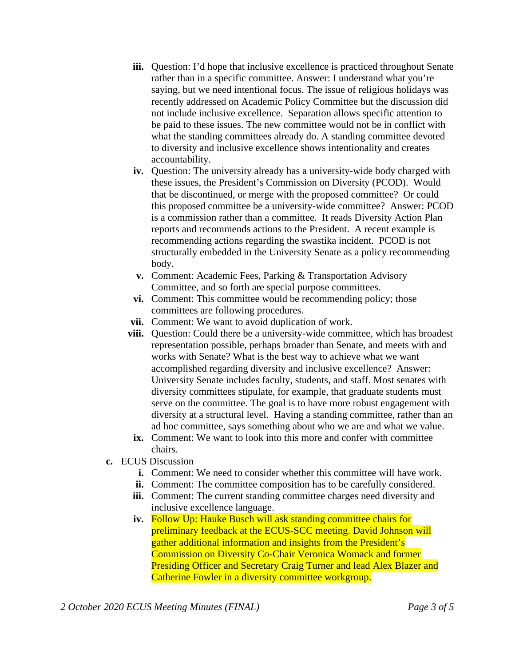- **iii.** Question: I'd hope that inclusive excellence is practiced throughout Senate rather than in a specific committee. Answer: I understand what you're saying, but we need intentional focus. The issue of religious holidays was recently addressed on Academic Policy Committee but the discussion did not include inclusive excellence. Separation allows specific attention to be paid to these issues. The new committee would not be in conflict with what the standing committees already do. A standing committee devoted to diversity and inclusive excellence shows intentionality and creates accountability.
- **iv.** Question: The university already has a university-wide body charged with these issues, the President's Commission on Diversity (PCOD). Would that be discontinued, or merge with the proposed committee? Or could this proposed committee be a university-wide committee? Answer: PCOD is a commission rather than a committee. It reads Diversity Action Plan reports and recommends actions to the President. A recent example is recommending actions regarding the swastika incident. PCOD is not structurally embedded in the University Senate as a policy recommending body.
- **v.** Comment: Academic Fees, Parking & Transportation Advisory Committee, and so forth are special purpose committees.
- **vi.** Comment: This committee would be recommending policy; those committees are following procedures.
- **vii.** Comment: We want to avoid duplication of work.
- **viii.** Question: Could there be a university-wide committee, which has broadest representation possible, perhaps broader than Senate, and meets with and works with Senate? What is the best way to achieve what we want accomplished regarding diversity and inclusive excellence? Answer: University Senate includes faculty, students, and staff. Most senates with diversity committees stipulate, for example, that graduate students must serve on the committee. The goal is to have more robust engagement with diversity at a structural level. Having a standing committee, rather than an ad hoc committee, says something about who we are and what we value.
- **ix.** Comment: We want to look into this more and confer with committee chairs.
- **c.** ECUS Discussion
	- **i.** Comment: We need to consider whether this committee will have work.
	- **ii.** Comment: The committee composition has to be carefully considered.
	- **iii.** Comment: The current standing committee charges need diversity and inclusive excellence language.
	- **iv.** Follow Up: Hauke Busch will ask standing committee chairs for preliminary feedback at the ECUS-SCC meeting. David Johnson will gather additional information and insights from the President's Commission on Diversity Co-Chair Veronica Womack and former Presiding Officer and Secretary Craig Turner and lead Alex Blazer and Catherine Fowler in a diversity committee workgroup.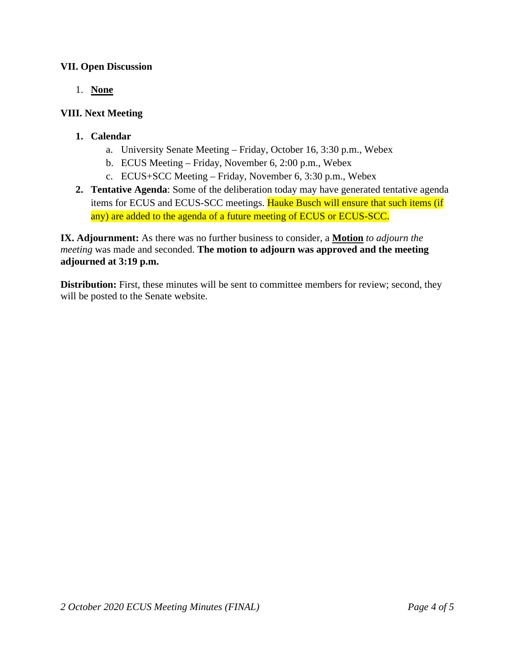### **VII. Open Discussion**

1. **None**

## **VIII. Next Meeting**

- **1. Calendar**
	- a. University Senate Meeting Friday, October 16, 3:30 p.m., Webex
	- b. ECUS Meeting Friday, November 6, 2:00 p.m., Webex
	- c. ECUS+SCC Meeting Friday, November 6, 3:30 p.m., Webex
- **2. Tentative Agenda**: Some of the deliberation today may have generated tentative agenda items for ECUS and ECUS-SCC meetings. Hauke Busch will ensure that such items (if any) are added to the agenda of a future meeting of ECUS or ECUS-SCC.

**IX. Adjournment:** As there was no further business to consider, a **Motion** *to adjourn the meeting* was made and seconded. **The motion to adjourn was approved and the meeting adjourned at 3:19 p.m.**

**Distribution:** First, these minutes will be sent to committee members for review; second, they will be posted to the Senate website.